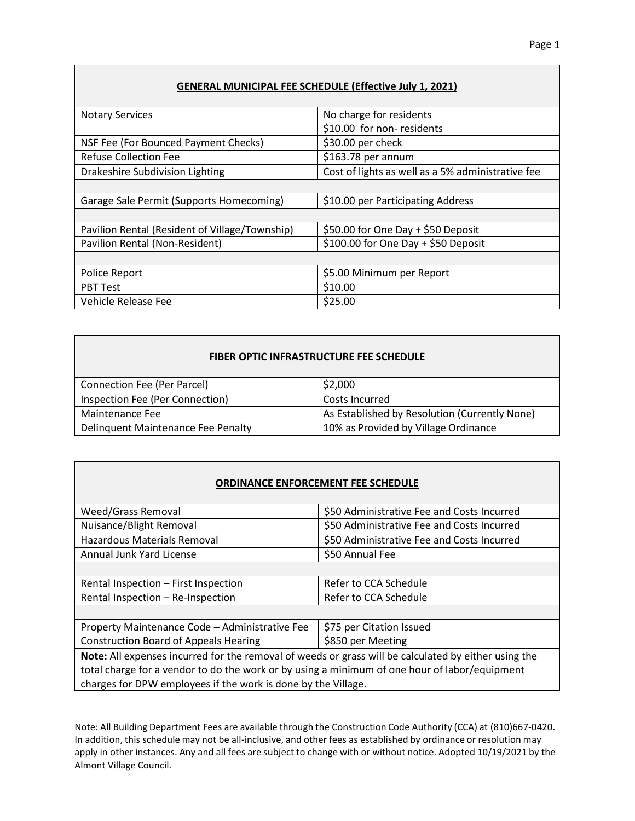## **GENERAL MUNICIPAL FEE SCHEDULE (Effective July 1, 2021)**

| <b>Notary Services</b>                         | No charge for residents                           |
|------------------------------------------------|---------------------------------------------------|
|                                                | \$10.00-for non-residents                         |
| NSF Fee (For Bounced Payment Checks)           | \$30.00 per check                                 |
| <b>Refuse Collection Fee</b>                   | \$163.78 per annum                                |
| Drakeshire Subdivision Lighting                | Cost of lights as well as a 5% administrative fee |
|                                                |                                                   |
| Garage Sale Permit (Supports Homecoming)       | \$10.00 per Participating Address                 |
|                                                |                                                   |
| Pavilion Rental (Resident of Village/Township) | \$50.00 for One Day + \$50 Deposit                |
| Pavilion Rental (Non-Resident)                 | \$100.00 for One Day + \$50 Deposit               |
|                                                |                                                   |
| Police Report                                  | \$5.00 Minimum per Report                         |
| <b>PBT Test</b>                                | \$10.00                                           |
| Vehicle Release Fee                            | \$25.00                                           |

## **FIBER OPTIC INFRASTRUCTURE FEE SCHEDULE**

| <b>Connection Fee (Per Parcel)</b> | \$2,000                                       |
|------------------------------------|-----------------------------------------------|
| Inspection Fee (Per Connection)    | Costs Incurred                                |
| Maintenance Fee                    | As Established by Resolution (Currently None) |
| Delinquent Maintenance Fee Penalty | 10% as Provided by Village Ordinance          |

## **ORDINANCE ENFORCEMENT FEE SCHEDULE**

| <b>Weed/Grass Removal</b>                                                                            | \$50 Administrative Fee and Costs Incurred |
|------------------------------------------------------------------------------------------------------|--------------------------------------------|
| Nuisance/Blight Removal                                                                              | \$50 Administrative Fee and Costs Incurred |
| Hazardous Materials Removal                                                                          | \$50 Administrative Fee and Costs Incurred |
| Annual Junk Yard License                                                                             | \$50 Annual Fee                            |
|                                                                                                      |                                            |
| Rental Inspection - First Inspection                                                                 | Refer to CCA Schedule                      |
| Rental Inspection - Re-Inspection                                                                    | Refer to CCA Schedule                      |
|                                                                                                      |                                            |
| Property Maintenance Code - Administrative Fee                                                       | \$75 per Citation Issued                   |
| <b>Construction Board of Appeals Hearing</b>                                                         | \$850 per Meeting                          |
| Note: All expenses incurred for the removal of weeds or grass will be calculated by either using the |                                            |
| total charge for a vendor to do the work or by using a minimum of one hour of labor/equipment        |                                            |
| المصالح القطاعي والمستحلف والمستنب والمنافذ ومعتبد المستحل والالتقاء والمستحلة                       |                                            |

charges for DPW employees if the work is done by the Village.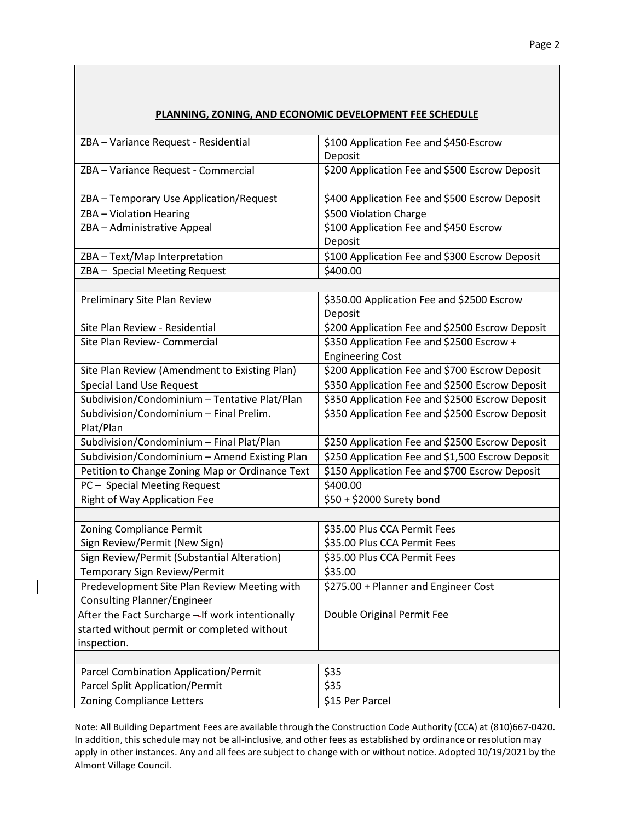| PLANNING, ZONING, AND ECONOMIC DEVELOPMENT FEE SCHEDULE                                                        |                                                       |
|----------------------------------------------------------------------------------------------------------------|-------------------------------------------------------|
| ZBA - Variance Request - Residential                                                                           | \$100 Application Fee and \$450-Escrow<br>Deposit     |
| ZBA - Variance Request - Commercial                                                                            | \$200 Application Fee and \$500 Escrow Deposit        |
| ZBA - Temporary Use Application/Request                                                                        | \$400 Application Fee and \$500 Escrow Deposit        |
| ZBA - Violation Hearing                                                                                        | \$500 Violation Charge                                |
| ZBA - Administrative Appeal                                                                                    | \$100 Application Fee and \$450-Escrow<br>Deposit     |
| ZBA - Text/Map Interpretation                                                                                  | \$100 Application Fee and \$300 Escrow Deposit        |
| ZBA - Special Meeting Request                                                                                  | \$400.00                                              |
|                                                                                                                |                                                       |
| Preliminary Site Plan Review                                                                                   | \$350.00 Application Fee and \$2500 Escrow<br>Deposit |
| Site Plan Review - Residential                                                                                 | \$200 Application Fee and \$2500 Escrow Deposit       |
| Site Plan Review- Commercial                                                                                   | \$350 Application Fee and \$2500 Escrow +             |
|                                                                                                                | <b>Engineering Cost</b>                               |
| Site Plan Review (Amendment to Existing Plan)                                                                  | \$200 Application Fee and \$700 Escrow Deposit        |
| Special Land Use Request                                                                                       | \$350 Application Fee and \$2500 Escrow Deposit       |
| Subdivision/Condominium - Tentative Plat/Plan                                                                  | \$350 Application Fee and \$2500 Escrow Deposit       |
| Subdivision/Condominium - Final Prelim.<br>Plat/Plan                                                           | \$350 Application Fee and \$2500 Escrow Deposit       |
| Subdivision/Condominium - Final Plat/Plan                                                                      | \$250 Application Fee and \$2500 Escrow Deposit       |
| Subdivision/Condominium - Amend Existing Plan                                                                  | \$250 Application Fee and \$1,500 Escrow Deposit      |
| Petition to Change Zoning Map or Ordinance Text                                                                | \$150 Application Fee and \$700 Escrow Deposit        |
| PC - Special Meeting Request                                                                                   | \$400.00                                              |
| Right of Way Application Fee                                                                                   | $\overline{$50} + $2000$ Surety bond                  |
|                                                                                                                |                                                       |
| <b>Zoning Compliance Permit</b>                                                                                | \$35.00 Plus CCA Permit Fees                          |
| Sign Review/Permit (New Sign)                                                                                  | \$35.00 Plus CCA Permit Fees                          |
| Sign Review/Permit (Substantial Alteration)                                                                    | \$35.00 Plus CCA Permit Fees                          |
| Temporary Sign Review/Permit                                                                                   | \$35.00                                               |
| Predevelopment Site Plan Review Meeting with<br>Consulting Planner/Engineer                                    | \$275.00 + Planner and Engineer Cost                  |
| After the Fact Surcharge - If work intentionally<br>started without permit or completed without<br>inspection. | Double Original Permit Fee                            |
|                                                                                                                |                                                       |
| Parcel Combination Application/Permit                                                                          | \$35                                                  |
| <b>Parcel Split Application/Permit</b>                                                                         | \$35                                                  |
| <b>Zoning Compliance Letters</b>                                                                               | \$15 Per Parcel                                       |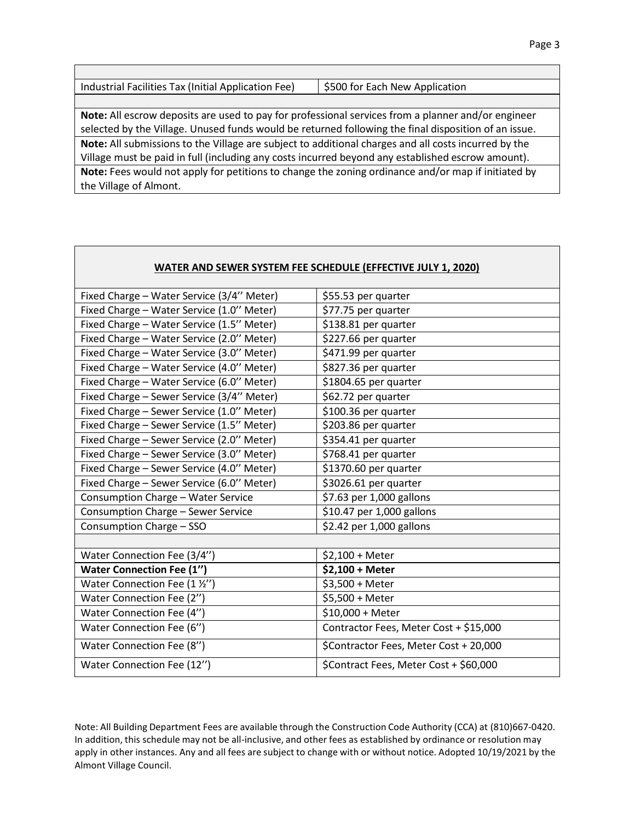| Industrial Facilities Tax (Initial Application Fee)                                                  | \$500 for Each New Application |  |
|------------------------------------------------------------------------------------------------------|--------------------------------|--|
|                                                                                                      |                                |  |
| Note: All escrow deposits are used to pay for professional services from a planner and/or engineer   |                                |  |
| selected by the Village. Unused funds would be returned following the final disposition of an issue. |                                |  |
| Note: All submissions to the Village are subject to additional charges and all costs incurred by the |                                |  |
| Village must be paid in full (including any costs incurred beyond any established escrow amount).    |                                |  |
| Note: Fees would not apply for petitions to change the zoning ordinance and/or map if initiated by   |                                |  |
| the Village of Almont.                                                                               |                                |  |

| WATER AND SEWER SYSTEM FEE SCHEDULE (EFFECTIVE JULY 1, 2020) |                                        |
|--------------------------------------------------------------|----------------------------------------|
| Fixed Charge - Water Service (3/4" Meter)                    | \$55.53 per quarter                    |
| Fixed Charge - Water Service (1.0" Meter)                    | \$77.75 per quarter                    |
| Fixed Charge - Water Service (1.5" Meter)                    | \$138.81 per quarter                   |
| Fixed Charge - Water Service (2.0" Meter)                    | \$227.66 per quarter                   |
| Fixed Charge - Water Service (3.0" Meter)                    | \$471.99 per quarter                   |
| Fixed Charge - Water Service (4.0" Meter)                    | \$827.36 per quarter                   |
| Fixed Charge - Water Service (6.0" Meter)                    | \$1804.65 per quarter                  |
| Fixed Charge - Sewer Service (3/4" Meter)                    | \$62.72 per quarter                    |
| Fixed Charge - Sewer Service (1.0" Meter)                    | \$100.36 per quarter                   |
| Fixed Charge - Sewer Service (1.5" Meter)                    | \$203.86 per quarter                   |
| Fixed Charge - Sewer Service (2.0" Meter)                    | \$354.41 per quarter                   |
| Fixed Charge - Sewer Service (3.0" Meter)                    | \$768.41 per quarter                   |
| Fixed Charge - Sewer Service (4.0" Meter)                    | \$1370.60 per quarter                  |
| Fixed Charge - Sewer Service (6.0" Meter)                    | \$3026.61 per quarter                  |
| Consumption Charge - Water Service                           | \$7.63 per 1,000 gallons               |
| Consumption Charge - Sewer Service                           | \$10.47 per 1,000 gallons              |
| Consumption Charge - SSO                                     | \$2.42 per 1,000 gallons               |
|                                                              |                                        |
| Water Connection Fee (3/4")                                  | \$2,100 + Meter                        |
| <b>Water Connection Fee (1")</b>                             | \$2,100 + Meter                        |
| Water Connection Fee (1 1/2")                                | \$3,500 + Meter                        |
| Water Connection Fee (2")                                    | \$5,500 + Meter                        |
| Water Connection Fee (4")                                    | \$10,000 + Meter                       |
| Water Connection Fee (6")                                    | Contractor Fees, Meter Cost + \$15,000 |
| Water Connection Fee (8")                                    | \$Contractor Fees, Meter Cost + 20,000 |
| Water Connection Fee (12")                                   | \$Contract Fees, Meter Cost + \$60,000 |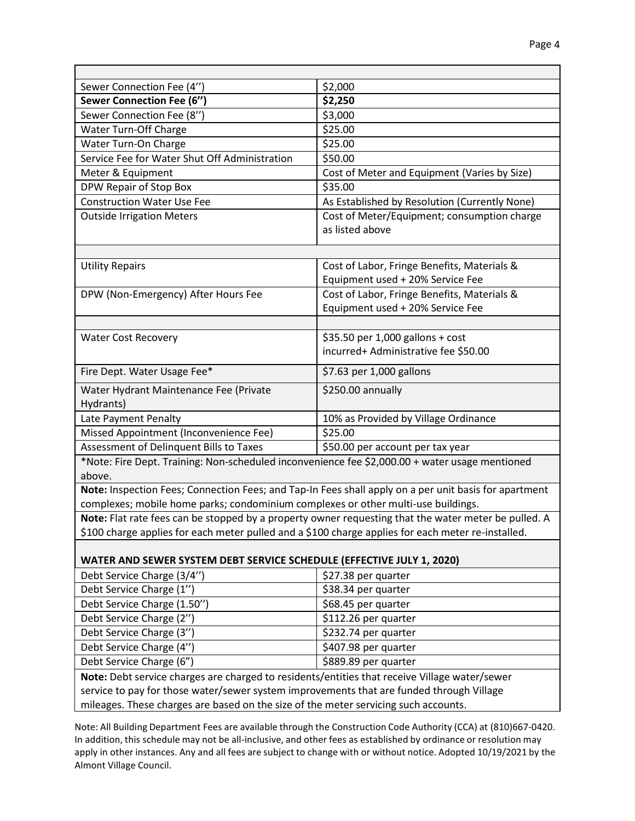| Sewer Connection Fee (4")                                                                                | \$2,000                                                                                               |
|----------------------------------------------------------------------------------------------------------|-------------------------------------------------------------------------------------------------------|
| <b>Sewer Connection Fee (6")</b>                                                                         | \$2,250                                                                                               |
| Sewer Connection Fee (8")                                                                                | \$3,000                                                                                               |
| Water Turn-Off Charge                                                                                    | \$25.00                                                                                               |
| Water Turn-On Charge                                                                                     | \$25.00                                                                                               |
| Service Fee for Water Shut Off Administration                                                            | \$50.00                                                                                               |
| Meter & Equipment                                                                                        | Cost of Meter and Equipment (Varies by Size)                                                          |
| DPW Repair of Stop Box                                                                                   | \$35.00                                                                                               |
| <b>Construction Water Use Fee</b>                                                                        | As Established by Resolution (Currently None)                                                         |
| <b>Outside Irrigation Meters</b>                                                                         | Cost of Meter/Equipment; consumption charge                                                           |
|                                                                                                          | as listed above                                                                                       |
|                                                                                                          |                                                                                                       |
| <b>Utility Repairs</b>                                                                                   | Cost of Labor, Fringe Benefits, Materials &                                                           |
|                                                                                                          | Equipment used + 20% Service Fee                                                                      |
| DPW (Non-Emergency) After Hours Fee                                                                      | Cost of Labor, Fringe Benefits, Materials &                                                           |
|                                                                                                          | Equipment used + 20% Service Fee                                                                      |
|                                                                                                          |                                                                                                       |
| <b>Water Cost Recovery</b>                                                                               | \$35.50 per 1,000 gallons + cost                                                                      |
|                                                                                                          | incurred+ Administrative fee \$50.00                                                                  |
|                                                                                                          |                                                                                                       |
| Fire Dept. Water Usage Fee*                                                                              | \$7.63 per 1,000 gallons                                                                              |
| Water Hydrant Maintenance Fee (Private                                                                   | \$250.00 annually                                                                                     |
| Hydrants)                                                                                                |                                                                                                       |
| Late Payment Penalty                                                                                     | 10% as Provided by Village Ordinance                                                                  |
| Missed Appointment (Inconvenience Fee)                                                                   | \$25.00                                                                                               |
| Assessment of Delinquent Bills to Taxes                                                                  | \$50.00 per account per tax year                                                                      |
| *Note: Fire Dept. Training: Non-scheduled inconvenience fee \$2,000.00 + water usage mentioned<br>above. |                                                                                                       |
|                                                                                                          | Note: Inspection Fees; Connection Fees; and Tap-In Fees shall apply on a per unit basis for apartment |
| complexes; mobile home parks; condominium complexes or other multi-use buildings.                        |                                                                                                       |
|                                                                                                          | Note: Flat rate fees can be stopped by a property owner requesting that the water meter be pulled. A  |
| \$100 charge applies for each meter pulled and a \$100 charge applies for each meter re-installed.       |                                                                                                       |
|                                                                                                          |                                                                                                       |
| <b>WATER AND SEWER SYSTEM DEBT SERVICE SCHEDULE (EFFECTIVE JULY 1, 2020)</b>                             |                                                                                                       |
| Debt Service Charge (3/4")                                                                               | \$27.38 per quarter                                                                                   |
| Debt Service Charge (1")                                                                                 | \$38.34 per quarter                                                                                   |
| Debt Service Charge (1.50")                                                                              | \$68.45 per quarter                                                                                   |
| Debt Service Charge (2")                                                                                 | \$112.26 per quarter                                                                                  |
| Debt Service Charge (3")                                                                                 | \$232.74 per quarter                                                                                  |
| Debt Service Charge (4")                                                                                 | \$407.98 per quarter                                                                                  |
| Debt Service Charge (6")                                                                                 | \$889.89 per quarter                                                                                  |
| Note: Debt service charges are charged to residents/entities that receive Village water/sewer            |                                                                                                       |
| service to pay for those water/sewer system improvements that are funded through Village                 |                                                                                                       |
| mileages. These charges are based on the size of the meter servicing such accounts.                      |                                                                                                       |
|                                                                                                          |                                                                                                       |